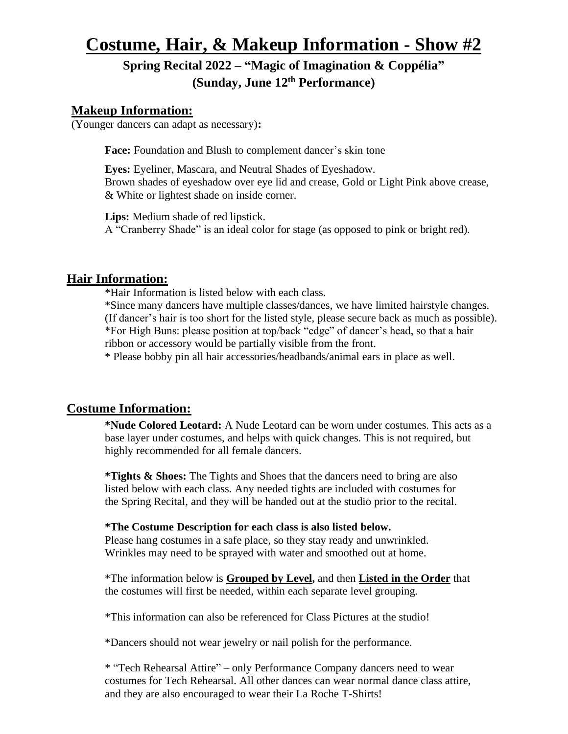# **Costume, Hair, & Makeup Information - Show #2**

## **Spring Recital 2022 – "Magic of Imagination & Coppélia" (Sunday, June 12 th Performance)**

## **Makeup Information:**

(Younger dancers can adapt as necessary)**:**

Face: Foundation and Blush to complement dancer's skin tone

**Eyes:** Eyeliner, Mascara, and Neutral Shades of Eyeshadow. Brown shades of eyeshadow over eye lid and crease, Gold or Light Pink above crease, & White or lightest shade on inside corner.

**Lips:** Medium shade of red lipstick. A "Cranberry Shade" is an ideal color for stage (as opposed to pink or bright red).

## **Hair Information:**

\*Hair Information is listed below with each class.

\*Since many dancers have multiple classes/dances, we have limited hairstyle changes. (If dancer's hair is too short for the listed style, please secure back as much as possible). \*For High Buns: please position at top/back "edge" of dancer's head, so that a hair ribbon or accessory would be partially visible from the front.

\* Please bobby pin all hair accessories/headbands/animal ears in place as well.

## **Costume Information:**

**\*Nude Colored Leotard:** A Nude Leotard can be worn under costumes. This acts as a base layer under costumes, and helps with quick changes. This is not required, but highly recommended for all female dancers.

**\*Tights & Shoes:** The Tights and Shoes that the dancers need to bring are also listed below with each class. Any needed tights are included with costumes for the Spring Recital, and they will be handed out at the studio prior to the recital.

### **\*The Costume Description for each class is also listed below.**

Please hang costumes in a safe place, so they stay ready and unwrinkled. Wrinkles may need to be sprayed with water and smoothed out at home.

\*The information below is **Grouped by Level,** and then **Listed in the Order** that the costumes will first be needed, within each separate level grouping.

\*This information can also be referenced for Class Pictures at the studio!

\*Dancers should not wear jewelry or nail polish for the performance.

\* "Tech Rehearsal Attire" – only Performance Company dancers need to wear costumes for Tech Rehearsal. All other dances can wear normal dance class attire, and they are also encouraged to wear their La Roche T-Shirts!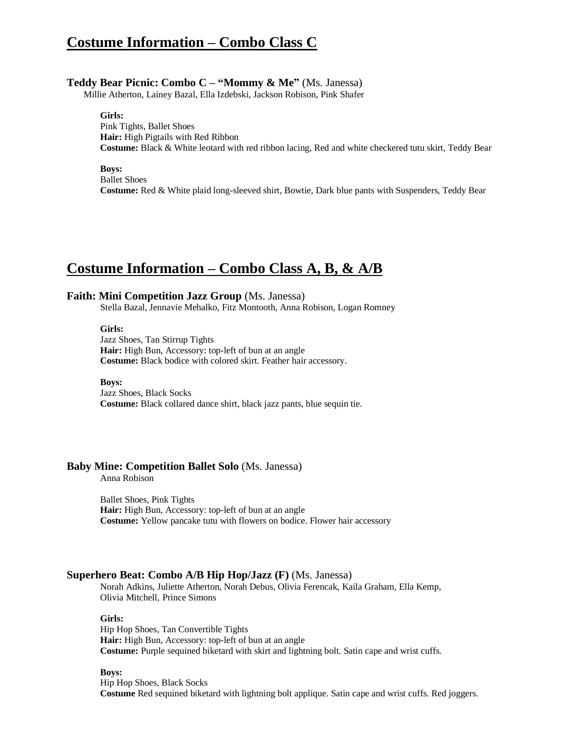## **Costume Information – Combo Class C**

#### **Teddy Bear Picnic: Combo C – "Mommy & Me"** (Ms. Janessa)

Millie Atherton, Lainey Bazal, Ella Izdebski, Jackson Robison, Pink Shafer

**Girls:**

Pink Tights, Ballet Shoes **Hair:** High Pigtails with Red Ribbon **Costume:** Black & White leotard with red ribbon lacing, Red and white checkered tutu skirt, Teddy Bear

**Boys:**

Ballet Shoes **Costume:** Red & White plaid long-sleeved shirt, Bowtie, Dark blue pants with Suspenders, Teddy Bear

## **Costume Information – Combo Class A, B, & A/B**

#### **Faith: Mini Competition Jazz Group** (Ms. Janessa)

Stella Bazal, Jennavie Mehalko, Fitz Montooth, Anna Robison, Logan Romney

**Girls:**

Jazz Shoes, Tan Stirrup Tights Hair: High Bun, Accessory: top-left of bun at an angle **Costume:** Black bodice with colored skirt. Feather hair accessory.

**Boys:**

Jazz Shoes, Black Socks **Costume:** Black collared dance shirt, black jazz pants, blue sequin tie.

#### **Baby Mine: Competition Ballet Solo** (Ms. Janessa)

Anna Robison

Ballet Shoes, Pink Tights Hair: High Bun, Accessory: top-left of bun at an angle **Costume:** Yellow pancake tutu with flowers on bodice. Flower hair accessory

### **Superhero Beat: Combo A/B Hip Hop/Jazz (F)** (Ms. Janessa)

Norah Adkins, Juliette Atherton, Norah Debus, Olivia Ferencak, Kaila Graham, Ella Kemp, Olivia Mitchell, Prince Simons

#### **Girls:**

Hip Hop Shoes, Tan Convertible Tights Hair: High Bun, Accessory: top-left of bun at an angle **Costume:** Purple sequined biketard with skirt and lightning bolt. Satin cape and wrist cuffs.

#### **Boys:**

Hip Hop Shoes, Black Socks **Costume** Red sequined biketard with lightning bolt applique. Satin cape and wrist cuffs. Red joggers.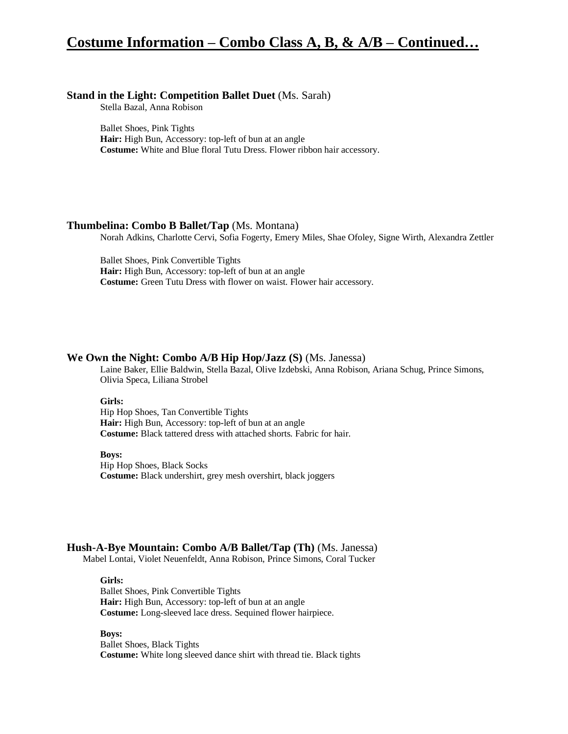## **Costume Information – Combo Class A, B, & A/B – Continued…**

### **Stand in the Light: Competition Ballet Duet** (Ms. Sarah)

Stella Bazal, Anna Robison

Ballet Shoes, Pink Tights **Hair:** High Bun, Accessory: top-left of bun at an angle **Costume:** White and Blue floral Tutu Dress. Flower ribbon hair accessory.

## **Thumbelina: Combo B Ballet/Tap** (Ms. Montana)

Norah Adkins, Charlotte Cervi, Sofia Fogerty, Emery Miles, Shae Ofoley, Signe Wirth, Alexandra Zettler

Ballet Shoes, Pink Convertible Tights **Hair:** High Bun, Accessory: top-left of bun at an angle **Costume:** Green Tutu Dress with flower on waist. Flower hair accessory.

#### **We Own the Night: Combo A/B Hip Hop/Jazz (S)** (Ms. Janessa)

Laine Baker, Ellie Baldwin, Stella Bazal, Olive Izdebski, Anna Robison, Ariana Schug, Prince Simons, Olivia Speca, Liliana Strobel

#### **Girls:**

Hip Hop Shoes, Tan Convertible Tights **Hair:** High Bun, Accessory: top-left of bun at an angle **Costume:** Black tattered dress with attached shorts. Fabric for hair.

#### **Boys:**

Hip Hop Shoes, Black Socks **Costume:** Black undershirt, grey mesh overshirt, black joggers

#### **Hush-A-Bye Mountain: Combo A/B Ballet/Tap (Th)** (Ms. Janessa)

Mabel Lontai, Violet Neuenfeldt, Anna Robison, Prince Simons, Coral Tucker

**Girls:** Ballet Shoes, Pink Convertible Tights **Hair:** High Bun, Accessory: top-left of bun at an angle **Costume:** Long-sleeved lace dress. Sequined flower hairpiece.

**Boys:** Ballet Shoes, Black Tights **Costume:** White long sleeved dance shirt with thread tie. Black tights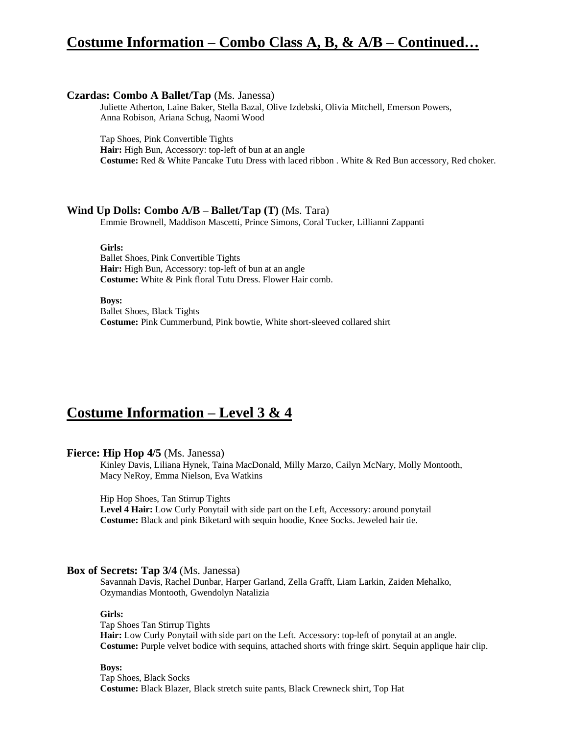## **Costume Information – Combo Class A, B, & A/B – Continued…**

#### **Czardas: Combo A Ballet/Tap** (Ms. Janessa)

Juliette Atherton, Laine Baker, Stella Bazal, Olive Izdebski, Olivia Mitchell, Emerson Powers, Anna Robison, Ariana Schug, Naomi Wood

Tap Shoes, Pink Convertible Tights

Hair: High Bun, Accessory: top-left of bun at an angle

**Costume:** Red & White Pancake Tutu Dress with laced ribbon . White & Red Bun accessory, Red choker.

## **Wind Up Dolls: Combo A/B – Ballet/Tap (T)** (Ms. Tara)

Emmie Brownell, Maddison Mascetti, Prince Simons, Coral Tucker, Lillianni Zappanti

**Girls:**

Ballet Shoes, Pink Convertible Tights **Hair:** High Bun, Accessory: top-left of bun at an angle **Costume:** White & Pink floral Tutu Dress. Flower Hair comb.

**Boys:**

Ballet Shoes, Black Tights **Costume:** Pink Cummerbund, Pink bowtie, White short-sleeved collared shirt

## **Costume Information – Level 3 & 4**

### **Fierce: Hip Hop 4/5** (Ms. Janessa)

Kinley Davis, Liliana Hynek, Taina MacDonald, Milly Marzo, Cailyn McNary, Molly Montooth, Macy NeRoy, Emma Nielson, Eva Watkins

Hip Hop Shoes, Tan Stirrup Tights

**Level 4 Hair:** Low Curly Ponytail with side part on the Left, Accessory: around ponytail **Costume:** Black and pink Biketard with sequin hoodie, Knee Socks. Jeweled hair tie.

### **Box of Secrets: Tap 3/4** (Ms. Janessa)

Savannah Davis, Rachel Dunbar, Harper Garland, Zella Grafft, Liam Larkin, Zaiden Mehalko, Ozymandias Montooth, Gwendolyn Natalizia

#### **Girls:**

Tap Shoes Tan Stirrup Tights

**Hair:** Low Curly Ponytail with side part on the Left. Accessory: top-left of ponytail at an angle. **Costume:** Purple velvet bodice with sequins, attached shorts with fringe skirt. Sequin applique hair clip.

#### **Boys:**

Tap Shoes, Black Socks **Costume:** Black Blazer, Black stretch suite pants, Black Crewneck shirt, Top Hat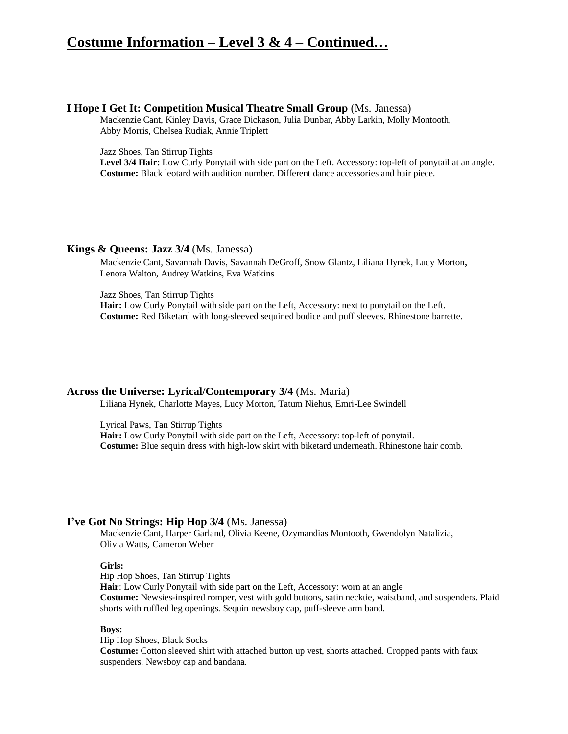## **Costume Information – Level 3 & 4 – Continued…**

#### **I Hope I Get It: Competition Musical Theatre Small Group** (Ms. Janessa)

Mackenzie Cant, Kinley Davis, Grace Dickason, Julia Dunbar, Abby Larkin, Molly Montooth, Abby Morris, Chelsea Rudiak, Annie Triplett

Jazz Shoes, Tan Stirrup Tights

**Level 3/4 Hair:** Low Curly Ponytail with side part on the Left. Accessory: top-left of ponytail at an angle. **Costume:** Black leotard with audition number. Different dance accessories and hair piece.

#### **Kings & Queens: Jazz 3/4** (Ms. Janessa)

Mackenzie Cant, Savannah Davis, Savannah DeGroff, Snow Glantz, Liliana Hynek, Lucy Morton, Lenora Walton, Audrey Watkins, Eva Watkins

Jazz Shoes, Tan Stirrup Tights

**Hair:** Low Curly Ponytail with side part on the Left, Accessory: next to ponytail on the Left. **Costume:** Red Biketard with long-sleeved sequined bodice and puff sleeves. Rhinestone barrette.

### **Across the Universe: Lyrical/Contemporary 3/4** (Ms. Maria)

Liliana Hynek, Charlotte Mayes, Lucy Morton, Tatum Niehus, Emri-Lee Swindell

Lyrical Paws, Tan Stirrup Tights **Hair:** Low Curly Ponytail with side part on the Left, Accessory: top-left of ponytail. **Costume:** Blue sequin dress with high-low skirt with biketard underneath. Rhinestone hair comb.

### **I've Got No Strings: Hip Hop 3/4** (Ms. Janessa)

Mackenzie Cant, Harper Garland, Olivia Keene, Ozymandias Montooth, Gwendolyn Natalizia, Olivia Watts, Cameron Weber

### **Girls:**

Hip Hop Shoes, Tan Stirrup Tights

**Hair**: Low Curly Ponytail with side part on the Left, Accessory: worn at an angle **Costume:** Newsies-inspired romper, vest with gold buttons, satin necktie, waistband, and suspenders. Plaid shorts with ruffled leg openings. Sequin newsboy cap, puff-sleeve arm band.

### **Boys:**

Hip Hop Shoes, Black Socks

**Costume:** Cotton sleeved shirt with attached button up vest, shorts attached. Cropped pants with faux suspenders. Newsboy cap and bandana.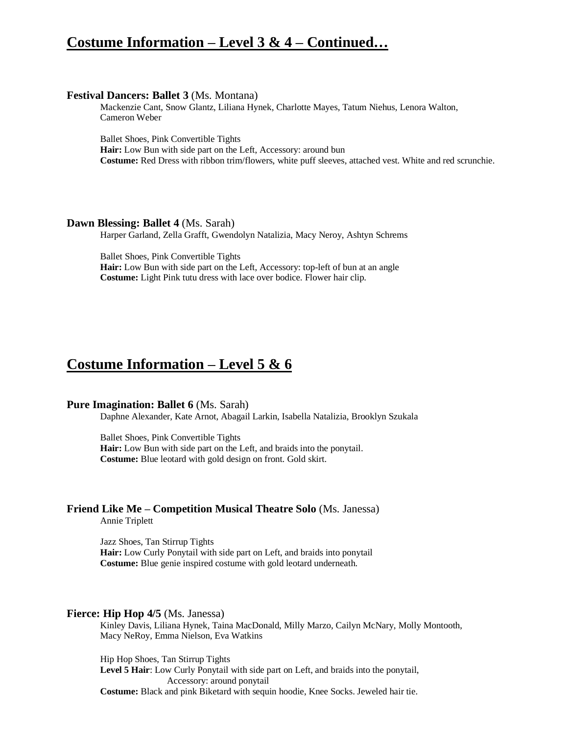## **Costume Information – Level 3 & 4 – Continued…**

#### **Festival Dancers: Ballet 3** (Ms. Montana)

Mackenzie Cant, Snow Glantz, Liliana Hynek, Charlotte Mayes, Tatum Niehus, Lenora Walton, Cameron Weber

Ballet Shoes, Pink Convertible Tights

**Hair:** Low Bun with side part on the Left, Accessory: around bun **Costume:** Red Dress with ribbon trim/flowers, white puff sleeves, attached vest. White and red scrunchie.

#### **Dawn Blessing: Ballet 4** (Ms. Sarah)

Harper Garland, Zella Grafft, Gwendolyn Natalizia, Macy Neroy, Ashtyn Schrems

Ballet Shoes, Pink Convertible Tights **Hair:** Low Bun with side part on the Left, Accessory: top-left of bun at an angle **Costume:** Light Pink tutu dress with lace over bodice. Flower hair clip.

## **Costume Information – Level 5 & 6**

#### **Pure Imagination: Ballet 6** (Ms. Sarah)

Daphne Alexander, Kate Arnot, Abagail Larkin, Isabella Natalizia, Brooklyn Szukala

Ballet Shoes, Pink Convertible Tights **Hair:** Low Bun with side part on the Left, and braids into the ponytail. **Costume:** Blue leotard with gold design on front. Gold skirt.

## **Friend Like Me – Competition Musical Theatre Solo** (Ms. Janessa)

Annie Triplett

Jazz Shoes, Tan Stirrup Tights **Hair:** Low Curly Ponytail with side part on Left, and braids into ponytail **Costume:** Blue genie inspired costume with gold leotard underneath.

#### **Fierce: Hip Hop 4/5** (Ms. Janessa)

Kinley Davis, Liliana Hynek, Taina MacDonald, Milly Marzo, Cailyn McNary, Molly Montooth, Macy NeRoy, Emma Nielson, Eva Watkins

Hip Hop Shoes, Tan Stirrup Tights

**Level 5 Hair**: Low Curly Ponytail with side part on Left, and braids into the ponytail, Accessory: around ponytail

**Costume:** Black and pink Biketard with sequin hoodie, Knee Socks. Jeweled hair tie.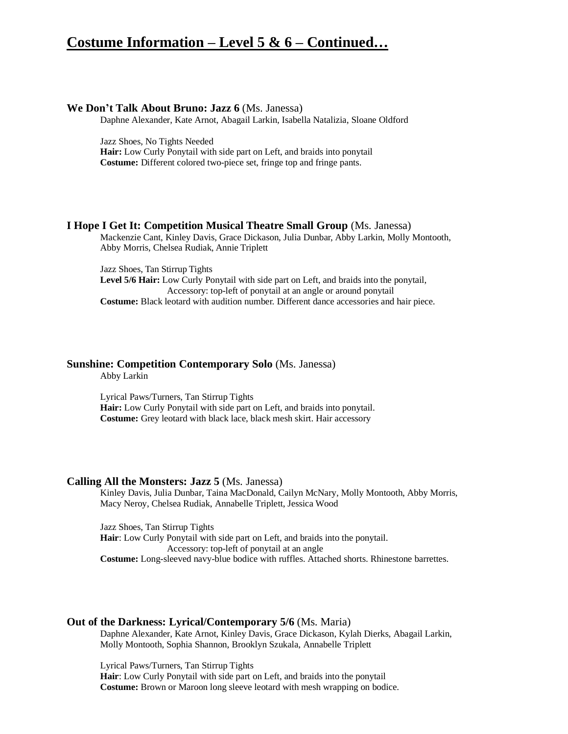## **Costume Information – Level 5 & 6 – Continued…**

### **We Don't Talk About Bruno: Jazz 6** (Ms. Janessa)

Daphne Alexander, Kate Arnot, Abagail Larkin, Isabella Natalizia, Sloane Oldford

Jazz Shoes, No Tights Needed

**Hair:** Low Curly Ponytail with side part on Left, and braids into ponytail **Costume:** Different colored two-piece set, fringe top and fringe pants.

### **I Hope I Get It: Competition Musical Theatre Small Group** (Ms. Janessa)

Mackenzie Cant, Kinley Davis, Grace Dickason, Julia Dunbar, Abby Larkin, Molly Montooth, Abby Morris, Chelsea Rudiak, Annie Triplett

Jazz Shoes, Tan Stirrup Tights **Level 5/6 Hair:** Low Curly Ponytail with side part on Left, and braids into the ponytail, Accessory: top-left of ponytail at an angle or around ponytail **Costume:** Black leotard with audition number. Different dance accessories and hair piece.

## **Sunshine: Competition Contemporary Solo** (Ms. Janessa)

Abby Larkin

Lyrical Paws/Turners, Tan Stirrup Tights **Hair:** Low Curly Ponytail with side part on Left, and braids into ponytail. **Costume:** Grey leotard with black lace, black mesh skirt. Hair accessory

#### **Calling All the Monsters: Jazz 5** (Ms. Janessa)

Kinley Davis, Julia Dunbar, Taina MacDonald, Cailyn McNary, Molly Montooth, Abby Morris, Macy Neroy, Chelsea Rudiak, Annabelle Triplett, Jessica Wood

Jazz Shoes, Tan Stirrup Tights **Hair**: Low Curly Ponytail with side part on Left, and braids into the ponytail. Accessory: top-left of ponytail at an angle **Costume:** Long-sleeved navy-blue bodice with ruffles. Attached shorts. Rhinestone barrettes.

### **Out of the Darkness: Lyrical/Contemporary 5/6** (Ms. Maria)

Daphne Alexander, Kate Arnot, Kinley Davis, Grace Dickason, Kylah Dierks, Abagail Larkin, Molly Montooth, Sophia Shannon, Brooklyn Szukala, Annabelle Triplett

Lyrical Paws/Turners, Tan Stirrup Tights **Hair**: Low Curly Ponytail with side part on Left, and braids into the ponytail **Costume:** Brown or Maroon long sleeve leotard with mesh wrapping on bodice.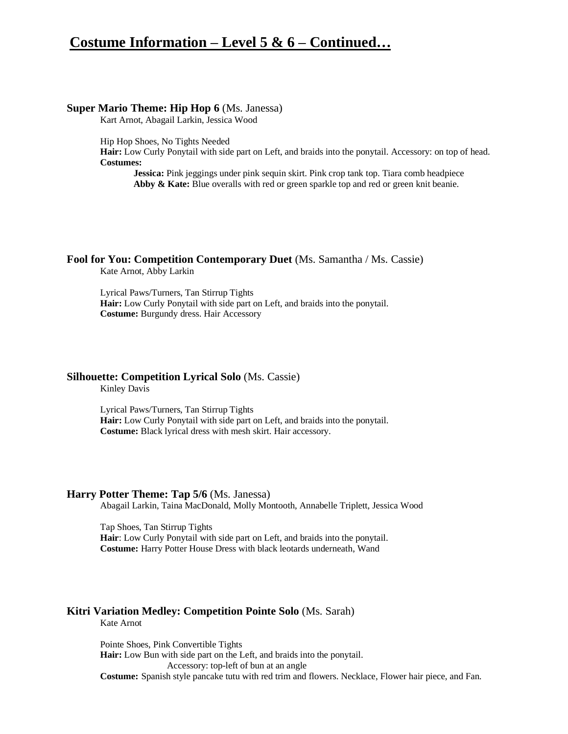## **Costume Information – Level 5 & 6 – Continued…**

#### **Super Mario Theme: Hip Hop 6** (Ms. Janessa)

Kart Arnot, Abagail Larkin, Jessica Wood

Hip Hop Shoes, No Tights Needed

**Hair:** Low Curly Ponytail with side part on Left, and braids into the ponytail. Accessory: on top of head. **Costumes:**

**Jessica:** Pink jeggings under pink sequin skirt. Pink crop tank top. Tiara comb headpiece Abby & Kate: Blue overalls with red or green sparkle top and red or green knit beanie.

## **Fool for You: Competition Contemporary Duet** (Ms. Samantha / Ms. Cassie)

Kate Arnot, Abby Larkin

Lyrical Paws/Turners, Tan Stirrup Tights **Hair:** Low Curly Ponytail with side part on Left, and braids into the ponytail. **Costume:** Burgundy dress. Hair Accessory

### **Silhouette: Competition Lyrical Solo** (Ms. Cassie)

Kinley Davis

Lyrical Paws/Turners, Tan Stirrup Tights **Hair:** Low Curly Ponytail with side part on Left, and braids into the ponytail. **Costume:** Black lyrical dress with mesh skirt. Hair accessory.

### **Harry Potter Theme: Tap 5/6** (Ms. Janessa)

Abagail Larkin, Taina MacDonald, Molly Montooth, Annabelle Triplett, Jessica Wood

Tap Shoes, Tan Stirrup Tights **Hair**: Low Curly Ponytail with side part on Left, and braids into the ponytail. **Costume:** Harry Potter House Dress with black leotards underneath, Wand

## **Kitri Variation Medley: Competition Pointe Solo** (Ms. Sarah)

Kate Arnot

Pointe Shoes, Pink Convertible Tights

**Hair:** Low Bun with side part on the Left, and braids into the ponytail.

Accessory: top-left of bun at an angle

**Costume:** Spanish style pancake tutu with red trim and flowers. Necklace, Flower hair piece, and Fan.